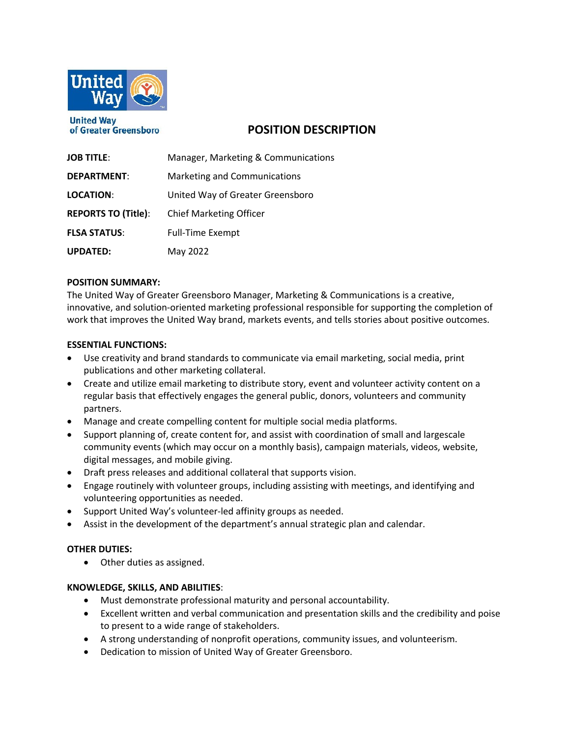

**United Wav** of Greater Greensboro

# **POSITION DESCRIPTION**

| <b>JOB TITLE:</b>          | Manager, Marketing & Communications |
|----------------------------|-------------------------------------|
| <b>DEPARTMENT:</b>         | Marketing and Communications        |
| LOCATION:                  | United Way of Greater Greensboro    |
| <b>REPORTS TO (Title):</b> | <b>Chief Marketing Officer</b>      |
| <b>FLSA STATUS:</b>        | <b>Full-Time Exempt</b>             |
| <b>UPDATED:</b>            | May 2022                            |

## **POSITION SUMMARY:**

The United Way of Greater Greensboro Manager, Marketing & Communications is a creative, innovative, and solution-oriented marketing professional responsible for supporting the completion of work that improves the United Way brand, markets events, and tells stories about positive outcomes.

## **ESSENTIAL FUNCTIONS:**

- Use creativity and brand standards to communicate via email marketing, social media, print publications and other marketing collateral.
- Create and utilize email marketing to distribute story, event and volunteer activity content on a regular basis that effectively engages the general public, donors, volunteers and community partners.
- Manage and create compelling content for multiple social media platforms.
- Support planning of, create content for, and assist with coordination of small and largescale community events (which may occur on a monthly basis), campaign materials, videos, website, digital messages, and mobile giving.
- Draft press releases and additional collateral that supports vision.
- Engage routinely with volunteer groups, including assisting with meetings, and identifying and volunteering opportunities as needed.
- Support United Way's volunteer-led affinity groups as needed.
- Assist in the development of the department's annual strategic plan and calendar.

## **OTHER DUTIES:**

• Other duties as assigned.

## **KNOWLEDGE, SKILLS, AND ABILITIES**:

- Must demonstrate professional maturity and personal accountability.
- Excellent written and verbal communication and presentation skills and the credibility and poise to present to a wide range of stakeholders.
- A strong understanding of nonprofit operations, community issues, and volunteerism.
- Dedication to mission of United Way of Greater Greensboro.